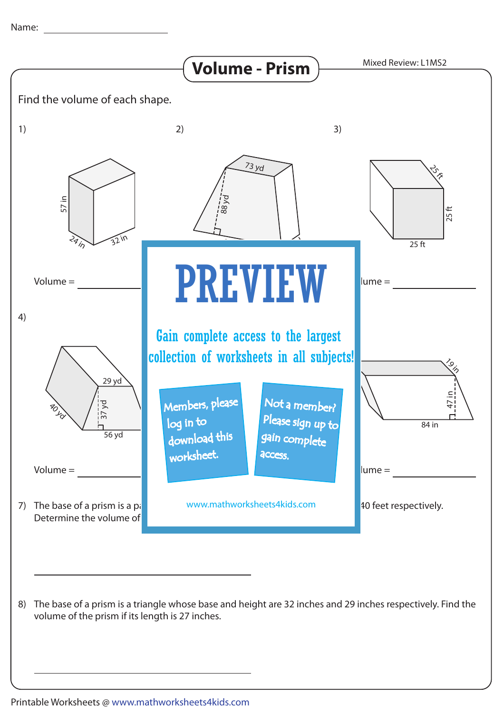